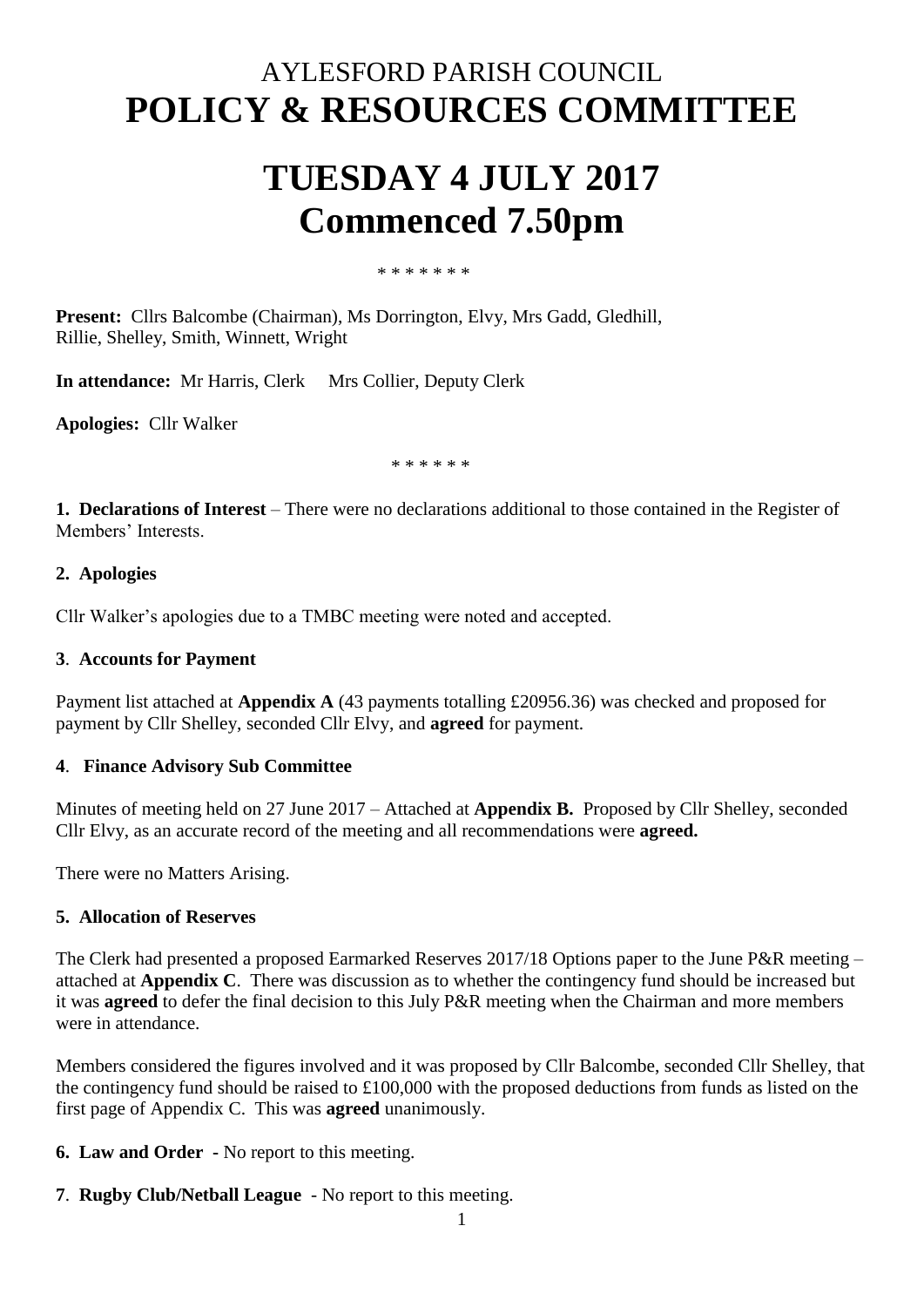## AYLESFORD PARISH COUNCIL **POLICY & RESOURCES COMMITTEE**

# **TUESDAY 4 JULY 2017 Commenced 7.50pm**

#### \* \* \* \* \* \* \*

**Present:** Cllrs Balcombe (Chairman), Ms Dorrington, Elvy, Mrs Gadd, Gledhill, Rillie, Shelley, Smith, Winnett, Wright

**In attendance:** Mr Harris, Clerk Mrs Collier, Deputy Clerk

**Apologies:** Cllr Walker

\* \* \* \* \* \*

**1. Declarations of Interest** – There were no declarations additional to those contained in the Register of Members' Interests.

## **2. Apologies**

Cllr Walker's apologies due to a TMBC meeting were noted and accepted.

#### **3**. **Accounts for Payment**

Payment list attached at **Appendix A** (43 payments totalling £20956.36) was checked and proposed for payment by Cllr Shelley, seconded Cllr Elvy, and **agreed** for payment.

## **4**. **Finance Advisory Sub Committee**

Minutes of meeting held on 27 June 2017 – Attached at **Appendix B.** Proposed by Cllr Shelley, seconded Cllr Elvy, as an accurate record of the meeting and all recommendations were **agreed.**

There were no Matters Arising.

#### **5. Allocation of Reserves**

The Clerk had presented a proposed Earmarked Reserves 2017/18 Options paper to the June P&R meeting – attached at **Appendix C**. There was discussion as to whether the contingency fund should be increased but it was **agreed** to defer the final decision to this July P&R meeting when the Chairman and more members were in attendance.

Members considered the figures involved and it was proposed by Cllr Balcombe, seconded Cllr Shelley, that the contingency fund should be raised to £100,000 with the proposed deductions from funds as listed on the first page of Appendix C. This was **agreed** unanimously.

**6. Law and Order -** No report to this meeting.

**7**. **Rugby Club/Netball League** - No report to this meeting.